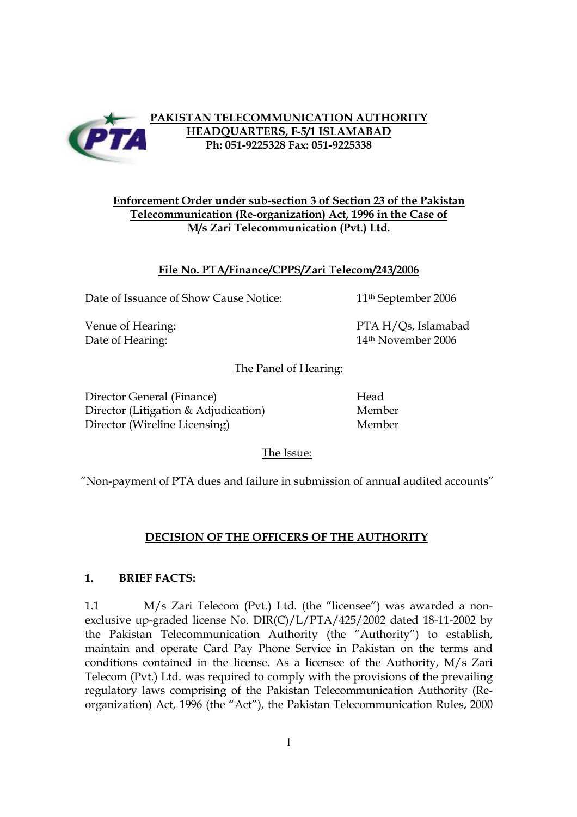

#### **PAKISTAN TELECOMMUNICATION AUTHORITY HEADQUARTERS, F-5/1 ISLAMABAD Ph: 051-9225328 Fax: 051-9225338**

## **Enforcement Order under sub-section 3 of Section 23 of the Pakistan Telecommunication (Re-organization) Act, 1996 in the Case of M/s Zari Telecommunication (Pvt.) Ltd.**

## **File No. PTA/Finance/CPPS/Zari Telecom/243/2006**

Date of Issuance of Show Cause Notice: 11<sup>th</sup> September 2006

Venue of Hearing: The PTA H/Qs, Islamabad Date of Hearing: 14<sup>th</sup> November 2006

The Panel of Hearing:

Director General (Finance) Head Director (Litigation & Adjudication) Member Director (Wireline Licensing) Member

The Issue:

"Non-payment of PTA dues and failure in submission of annual audited accounts"

# **DECISION OF THE OFFICERS OF THE AUTHORITY**

### **1. BRIEF FACTS:**

1.1 M/s Zari Telecom (Pvt.) Ltd. (the "licensee") was awarded a nonexclusive up-graded license No. DIR(C)/L/PTA/425/2002 dated 18-11-2002 by the Pakistan Telecommunication Authority (the "Authority") to establish, maintain and operate Card Pay Phone Service in Pakistan on the terms and conditions contained in the license. As a licensee of the Authority, M/s Zari Telecom (Pvt.) Ltd. was required to comply with the provisions of the prevailing regulatory laws comprising of the Pakistan Telecommunication Authority (Reorganization) Act, 1996 (the "Act"), the Pakistan Telecommunication Rules, 2000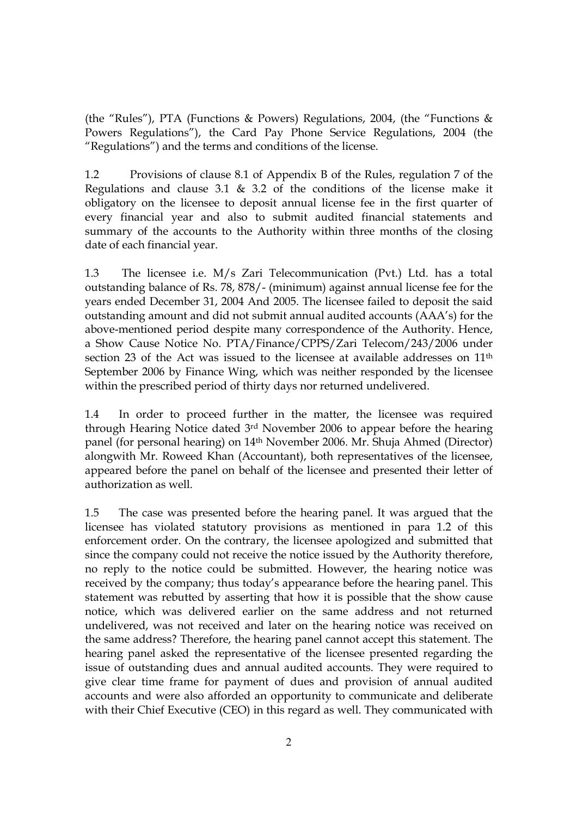(the "Rules"), PTA (Functions & Powers) Regulations, 2004, (the "Functions & Powers Regulations"), the Card Pay Phone Service Regulations, 2004 (the "Regulations") and the terms and conditions of the license.

1.2 Provisions of clause 8.1 of Appendix B of the Rules, regulation 7 of the Regulations and clause 3.1 & 3.2 of the conditions of the license make it obligatory on the licensee to deposit annual license fee in the first quarter of every financial year and also to submit audited financial statements and summary of the accounts to the Authority within three months of the closing date of each financial year.

1.3 The licensee i.e. M/s Zari Telecommunication (Pvt.) Ltd. has a total outstanding balance of Rs. 78, 878/- (minimum) against annual license fee for the years ended December 31, 2004 And 2005. The licensee failed to deposit the said outstanding amount and did not submit annual audited accounts (AAA's) for the above-mentioned period despite many correspondence of the Authority. Hence, a Show Cause Notice No. PTA/Finance/CPPS/Zari Telecom/243/2006 under section 23 of the Act was issued to the licensee at available addresses on 11<sup>th</sup> September 2006 by Finance Wing, which was neither responded by the licensee within the prescribed period of thirty days nor returned undelivered.

1.4 In order to proceed further in the matter, the licensee was required through Hearing Notice dated 3rd November 2006 to appear before the hearing panel (for personal hearing) on 14th November 2006. Mr. Shuja Ahmed (Director) alongwith Mr. Roweed Khan (Accountant), both representatives of the licensee, appeared before the panel on behalf of the licensee and presented their letter of authorization as well.

1.5 The case was presented before the hearing panel. It was argued that the licensee has violated statutory provisions as mentioned in para 1.2 of this enforcement order. On the contrary, the licensee apologized and submitted that since the company could not receive the notice issued by the Authority therefore, no reply to the notice could be submitted. However, the hearing notice was received by the company; thus today's appearance before the hearing panel. This statement was rebutted by asserting that how it is possible that the show cause notice, which was delivered earlier on the same address and not returned undelivered, was not received and later on the hearing notice was received on the same address? Therefore, the hearing panel cannot accept this statement. The hearing panel asked the representative of the licensee presented regarding the issue of outstanding dues and annual audited accounts. They were required to give clear time frame for payment of dues and provision of annual audited accounts and were also afforded an opportunity to communicate and deliberate with their Chief Executive (CEO) in this regard as well. They communicated with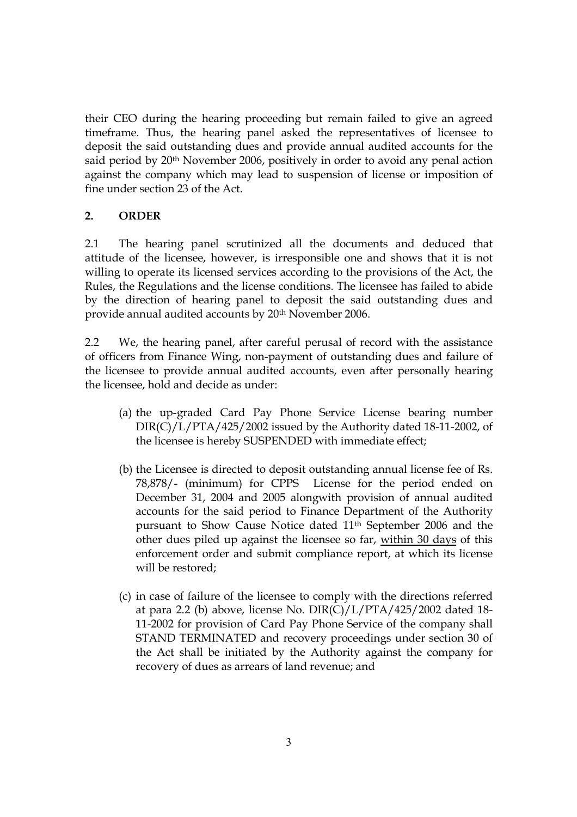their CEO during the hearing proceeding but remain failed to give an agreed timeframe. Thus, the hearing panel asked the representatives of licensee to deposit the said outstanding dues and provide annual audited accounts for the said period by 20<sup>th</sup> November 2006, positively in order to avoid any penal action against the company which may lead to suspension of license or imposition of fine under section 23 of the Act.

# **2. ORDER**

2.1 The hearing panel scrutinized all the documents and deduced that attitude of the licensee, however, is irresponsible one and shows that it is not willing to operate its licensed services according to the provisions of the Act, the Rules, the Regulations and the license conditions. The licensee has failed to abide by the direction of hearing panel to deposit the said outstanding dues and provide annual audited accounts by 20th November 2006.

2.2 We, the hearing panel, after careful perusal of record with the assistance of officers from Finance Wing, non-payment of outstanding dues and failure of the licensee to provide annual audited accounts, even after personally hearing the licensee, hold and decide as under:

- (a) the up-graded Card Pay Phone Service License bearing number  $DIR(C)/L/PTA/425/2002$  issued by the Authority dated 18-11-2002, of the licensee is hereby SUSPENDED with immediate effect;
- (b) the Licensee is directed to deposit outstanding annual license fee of Rs. 78,878/- (minimum) for CPPS License for the period ended on December 31, 2004 and 2005 alongwith provision of annual audited accounts for the said period to Finance Department of the Authority pursuant to Show Cause Notice dated 11th September 2006 and the other dues piled up against the licensee so far, within 30 days of this enforcement order and submit compliance report, at which its license will be restored;
- (c) in case of failure of the licensee to comply with the directions referred at para 2.2 (b) above, license No. DIR(C)/L/PTA/425/2002 dated 18- 11-2002 for provision of Card Pay Phone Service of the company shall STAND TERMINATED and recovery proceedings under section 30 of the Act shall be initiated by the Authority against the company for recovery of dues as arrears of land revenue; and